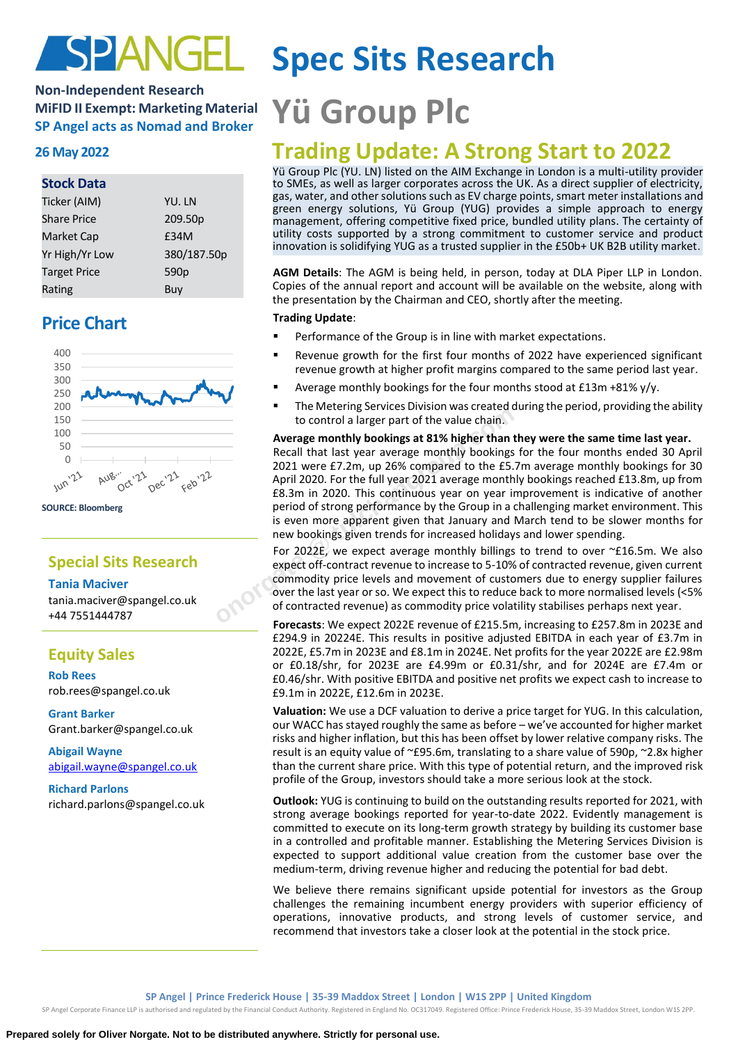

## **Non-Independent Research MiFID II Exempt: Marketing Material MiFID II Exempt: Marketing Material Yü Group PIC**

## **Stock Data**

| Ticker (AIM)        | YU. LN           |
|---------------------|------------------|
| <b>Share Price</b>  | 209.50p          |
| Market Cap          | £34M             |
| Yr High/Yr Low      | 380/187.50p      |
| <b>Target Price</b> | 590 <sub>p</sub> |
| Rating              | Buy              |

## **Price Chart**



**SOURCE: Bloomberg**

## **Special Sits Research**

## **Tania Maciver**

tania.maciver@spangel.co.uk +44 7551444787

## **Equity Sales**

**Rob Rees** [rob.rees@spangel.co.uk](mailto:rob.rees@spangel.co.uk)

**Grant Barker** Grant.barker@spangel.co.uk

**Abigail Wayne** [abigail.wayne@spangel.co.uk](mailto:abigail.wayne@spangel.co.uk)

**Richard Parlons** richard.parlons@spangel.co.uk

# **Spec Sits Research**

# **26 May <sup>2022</sup> Trading Update: A Strong Start to 2022**

Yü Group Plc (YU. LN) listed on the AIM Exchange in London is a multi-utility provider to SMEs, as well as larger corporates across the UK. As a direct supplier of electricity, gas, water, and other solutions such as EV charge points, smart meter installations and green energy solutions, Yü Group (YUG) provides a simple approach to energy management, offering competitive fixed price, bundled utility plans. The certainty of utility costs supported by a strong commitment to customer service and product innovation is solidifying YUG as a trusted supplier in the £50b+ UK B2B utility market.

**AGM Details**: The AGM is being held, in person, today at DLA Piper LLP in London. Copies of the annual report and account will be available on the website, along with the presentation by the Chairman and CEO, shortly after the meeting.

## **Trading Update**:

- Performance of the Group is in line with market expectations.
- Revenue growth for the first four months of 2022 have experienced significant revenue growth at higher profit margins compared to the same period last year.
- Average monthly bookings for the four months stood at £13m +81% y/y.
- The Metering Services Division was created during the period, providing the ability to control a larger part of the value chain.

## **Average monthly bookings at 81% higher than they were the same time last year.**

Recall that last year average monthly bookings for the four months ended 30 April 2021 were £7.2m, up 26% compared to the £5.7m average monthly bookings for 30 April 2020. For the full year 2021 average monthly bookings reached £13.8m, up from £8.3m in 2020. This continuous year on year improvement is indicative of another period of strong performance by the Group in a challenging market environment. This is even more apparent given that January and March tend to be slower months for new bookings given trends for increased holidays and lower spending. Intervetering services bivision was created due to control a larger part of the value chain.<br> **Average monthly bookings at 81% higher than the Recall that last year average monthly bookings f<br>
2021 were £7.2m, up 26% compa** 

For 2022E, we expect average monthly billings to trend to over ~£16.5m. We also expect off-contract revenue to increase to 5-10% of contracted revenue, given current commodity price levels and movement of customers due to energy supplier failures over the last year or so. We expect this to reduce back to more normalised levels (<5% of contracted revenue) as commodity price volatility stabilises perhaps next year.

**Forecasts**: We expect 2022E revenue of £215.5m, increasing to £257.8m in 2023E and £294.9 in 20224E. This results in positive adjusted EBITDA in each year of £3.7m in 2022E, £5.7m in 2023E and £8.1m in 2024E. Net profits for the year 2022E are £2.98m or £0.18/shr, for 2023E are £4.99m or £0.31/shr, and for 2024E are £7.4m or £0.46/shr. With positive EBITDA and positive net profits we expect cash to increase to £9.1m in 2022E, £12.6m in 2023E.

**Valuation:** We use a DCF valuation to derive a price target for YUG. In this calculation, our WACC has stayed roughly the same as before – we've accounted for higher market risks and higher inflation, but this has been offset by lower relative company risks. The result is an equity value of ~£95.6m, translating to a share value of 590p, ~2.8x higher than the current share price. With this type of potential return, and the improved risk profile of the Group, investors should take a more serious look at the stock.

**Outlook:** YUG is continuing to build on the outstanding results reported for 2021, with strong average bookings reported for year-to-date 2022. Evidently management is committed to execute on its long-term growth strategy by building its customer base in a controlled and profitable manner. Establishing the Metering Services Division is expected to support additional value creation from the customer base over the medium-term, driving revenue higher and reducing the potential for bad debt.

We believe there remains significant upside potential for investors as the Group challenges the remaining incumbent energy providers with superior efficiency of operations, innovative products, and strong levels of customer service, and recommend that investors take a closer look at the potential in the stock price.

SP Angel Corporate Finance LLP is authorised and regulated by the Financial Conduct Authority. Registered in England No. OC317049. Registered Office: Prince Frederick House, 35-39 Maddox Street, London W1S 2PP.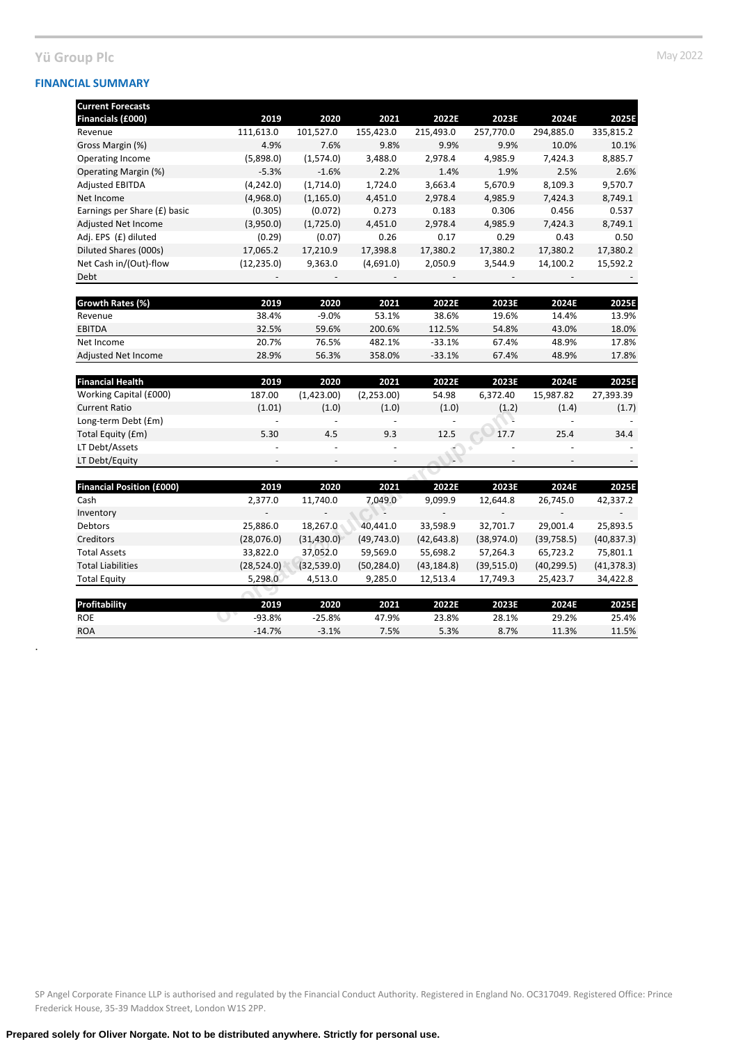## **Yü Group Plc** May 2022

.

| <b>Current Forecasts</b>     |             |            |           |           |           |           |           |
|------------------------------|-------------|------------|-----------|-----------|-----------|-----------|-----------|
| Financials (£000)            | 2019        | 2020       | 2021      | 2022E     | 2023E     | 2024E     | 2025E     |
| Revenue                      | 111,613.0   | 101,527.0  | 155,423.0 | 215,493.0 | 257,770.0 | 294,885.0 | 335,815.2 |
| Gross Margin (%)             | 4.9%        | 7.6%       | 9.8%      | 9.9%      | 9.9%      | 10.0%     | 10.1%     |
| Operating Income             | (5,898.0)   | (1,574.0)  | 3,488.0   | 2,978.4   | 4,985.9   | 7.424.3   | 8,885.7   |
| Operating Margin (%)         | $-5.3%$     | $-1.6%$    | 2.2%      | 1.4%      | 1.9%      | 2.5%      | 2.6%      |
| <b>Adjusted EBITDA</b>       | (4,242.0)   | (1,714.0)  | 1,724.0   | 3,663.4   | 5,670.9   | 8,109.3   | 9,570.7   |
| Net Income                   | (4,968.0)   | (1, 165.0) | 4,451.0   | 2,978.4   | 4,985.9   | 7,424.3   | 8,749.1   |
| Earnings per Share (£) basic | (0.305)     | (0.072)    | 0.273     | 0.183     | 0.306     | 0.456     | 0.537     |
| <b>Adjusted Net Income</b>   | (3,950.0)   | (1,725.0)  | 4,451.0   | 2,978.4   | 4,985.9   | 7,424.3   | 8,749.1   |
| Adj. EPS (£) diluted         | (0.29)      | (0.07)     | 0.26      | 0.17      | 0.29      | 0.43      | 0.50      |
| Diluted Shares (000s)        | 17,065.2    | 17,210.9   | 17,398.8  | 17,380.2  | 17,380.2  | 17,380.2  | 17,380.2  |
| Net Cash in/(Out)-flow       | (12, 235.0) | 9,363.0    | (4,691.0) | 2,050.9   | 3,544.9   | 14,100.2  | 15,592.2  |
| Debt                         |             |            |           |           |           |           |           |

| <b>Growth Rates (%)</b> | 2019  | 2020    | 2021   | 2022F    | 2023F | 2024F | 2025E |
|-------------------------|-------|---------|--------|----------|-------|-------|-------|
| Revenue                 | 38.4% | $-9.0%$ | 53.1%  | 38.6%    | 19.6% | 14.4% | 13.9% |
| <b>EBITDA</b>           | 32.5% | 59.6%   | 200.6% | 112.5%   | 54.8% | 43.0% | 18.0% |
| Net Income              | 20.7% | 76.5%   | 482.1% | $-33.1%$ | 67.4% | 48.9% | 17.8% |
| Adjusted Net Income     | 28.9% | 56.3%   | 358.0% | $-33.1%$ | 67.4% | 48.9% | 17.8% |

| <b>Financial Health</b> | 2019                     | 2020                     | 2021                     | 2022E                    | 2023E                    | 2024E     | 2025E                    |
|-------------------------|--------------------------|--------------------------|--------------------------|--------------------------|--------------------------|-----------|--------------------------|
| Working Capital (£000)  | 187.00                   | (1,423.00)               | (2,253.00)               | 54.98                    | 6.372.40                 | 15.987.82 | 27.393.39                |
| <b>Current Ratio</b>    | (1.01)                   | (1.0)                    | (1.0)                    | (1.0)                    | (1.2)                    | (1.4)     | (1.7)                    |
| Long-term Debt (£m)     | $\overline{\phantom{0}}$ | $\overline{\phantom{0}}$ | $\overline{\phantom{0}}$ | $\overline{\phantom{0}}$ |                          | ۰         |                          |
| Total Equity (£m)       | 5.30                     | 4.5                      | 9.3                      | 12.5                     | 17.7                     | 25.4      | 34.4                     |
| LT Debt/Assets          | ٠                        | $\overline{\phantom{a}}$ | $\overline{\phantom{0}}$ | ۵ľ                       | -                        |           | $\overline{\phantom{0}}$ |
| LT Debt/Equity          | $\overline{\phantom{0}}$ | $\overline{\phantom{0}}$ | $\overline{\phantom{a}}$ | ∍                        | $\overline{\phantom{a}}$ | -         | $\overline{\phantom{0}}$ |

| (L.U.1)     | (L.U)       | (L.U)                        | (L.U)       | (L.Z)                    | (L.4)       | (L.7)       |
|-------------|-------------|------------------------------|-------------|--------------------------|-------------|-------------|
|             |             | $\qquad \qquad \blacksquare$ |             |                          |             |             |
| 5.30        | 4.5         | 9.3                          | 12.5        | 17.7                     | 25.4        | 34.4        |
|             |             | $\overline{\phantom{a}}$     |             |                          |             |             |
|             |             | $\overline{\phantom{a}}$     |             | $\overline{\phantom{a}}$ |             |             |
|             |             |                              |             |                          |             |             |
| 2019        | 2020        | 2021                         | 2022E       | 2023E                    | 2024E       | 2025E       |
| 2,377.0     | 11,740.0    | 7,049.0                      | 9,099.9     | 12,644.8                 | 26,745.0    | 42,337.2    |
|             |             |                              |             |                          |             |             |
| 25,886.0    | 18,267.0    | 40,441.0                     | 33,598.9    | 32,701.7                 | 29,001.4    | 25,893.5    |
| (28,076.0)  | (31, 430.0) | (49, 743.0)                  | (42, 643.8) | (38, 974.0)              | (39, 758.5) | (40, 837.3) |
| 33,822.0    | 37,052.0    | 59,569.0                     | 55,698.2    | 57,264.3                 | 65,723.2    | 75,801.1    |
| (28, 524.0) | (32,539.0)  | (50, 284.0)                  | (43, 184.8) | (39,515.0)               | (40, 299.5) | (41, 378.3) |
| 5,298.0     | 4,513.0     | 9,285.0                      | 12,513.4    | 17,749.3                 | 25,423.7    | 34,422.8    |
|             |             |                              |             |                          |             |             |
| 2019        | 2020        | 2021                         | 2022E       | 2023E                    | 2024E       | 2025E       |
| -93.8%      | $-25.8%$    | 47.9%                        | 23.8%       | 28.1%                    | 29.2%       | 25.4%       |
|             |             |                              |             |                          |             |             |

| <b>Profitability</b> | 2019     | 2020     | 2021  | 2022E | 2023E | 2024E | 2025E |
|----------------------|----------|----------|-------|-------|-------|-------|-------|
| <b>ROE</b>           | $-93.8%$ | $-25.8%$ | 47.9% | 23.8% | 28.1% | 29.2% | 25.4% |
| <b>ROA</b>           | $-14.7%$ | $-3.1%$  | 7.5%  | 5.3%  | 8.7%  | 11.3% | 11.5% |
|                      |          |          |       |       |       |       |       |

SP Angel Corporate Finance LLP is authorised and regulated by the Financial Conduct Authority. Registered in England No. OC317049. Registered Office: Prince Frederick House, 35-39 Maddox Street, London W1S 2PP.